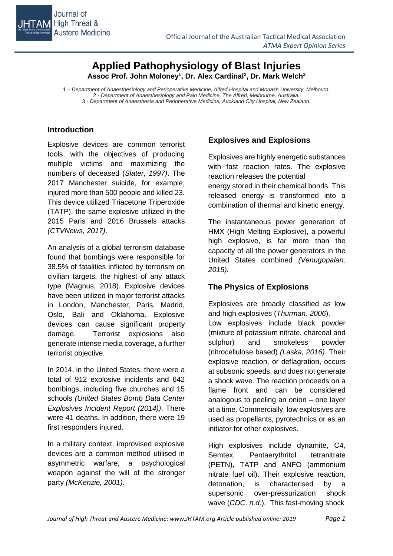

# **Applied Pathophysiology of Blast Injuries Assoc Prof. John Moloney<sup>1</sup> , Dr. Alex Cardinal<sup>2</sup> , Dr. Mark Welch<sup>3</sup>**

1 *– Department of Anaesthesiology and Perioperative Medicine, Alfred Hospital and Monash University, Melbourn.* 2 *- Department of Anaesthesiology and Pain Medicine, The Alfred, Melbourne, Australia.* 3 - *Department of Anaesthesia and Perioperative Medicine, Auckland City Hospital, New Zealand.*

## **Introduction**

Explosive devices are common terrorist tools, with the objectives of producing multiple victims and maximizing the numbers of deceased (*Slater, 1997)*. The 2017 Manchester suicide, for example, injured more than 500 people and killed 23. This device utilized Triacetone Triperoxide (TATP), the same explosive utilized in the 2015 Paris and 2016 Brussels attacks *(CTVNews, 2017)*.

An analysis of a global terrorism database found that bombings were responsible for 38.5% of fatalities inflicted by terrorism on civilian targets, the highest of any attack type (Magnus, 2018). Explosive devices have been utilized in major terrorist attacks in London, Manchester, Paris, Madrid, Oslo, Bali and Oklahoma. Explosive devices can cause significant property damage. Terrorist explosions also generate intense media coverage, a further terrorist objective.

In 2014, in the United States, there were a total of 912 explosive incidents and 642 bombings, including five churches and 15 schools *(United States Bomb Data Center Explosives Incident Report (2014))*. There were 41 deaths. In addition, there were 19 first responders injured.

In a military context, improvised explosive devices are a common method utilised in asymmetric warfare, a psychological weapon against the will of the stronger party *(McKenzie, 2001)*.

## **Explosives and Explosions**

Explosives are highly energetic substances with fast reaction rates. The explosive reaction releases the potential energy stored in their chemical bonds. This released energy is transformed into a combination of thermal and kinetic energy.

The instantaneous power generation of HMX (High Melting Explosive), a powerful high explosive, is far more than the capacity of all the power generators in the United States combined *(Venugopalan, 2015).*

## **The Physics of Explosions**

Explosives are broadly classified as low and high explosives (*Thurman, 2006*).

Low explosives include black powder (mixture of potassium nitrate, charcoal and sulphur) and smokeless powder (nitrocellulose based) *(Laska, 2016)*. Their explosive reaction, or deflagration, occurs at subsonic speeds, and does not generate a shock wave. The reaction proceeds on a flame front and can be considered analogous to peeling an onion – one layer at a time. Commercially, low explosives are used as propellants, pyrotechnics or as an initiator for other explosives.

High explosives include dynamite, C4, Semtex, Pentaerythritol tetranitrate (PETN), TATP and ANFO (ammonium nitrate fuel oil). Their explosive reaction, detonation, is characterised by a supersonic over-pressurization shock wave (*CDC, n.d*.). This fast-moving shock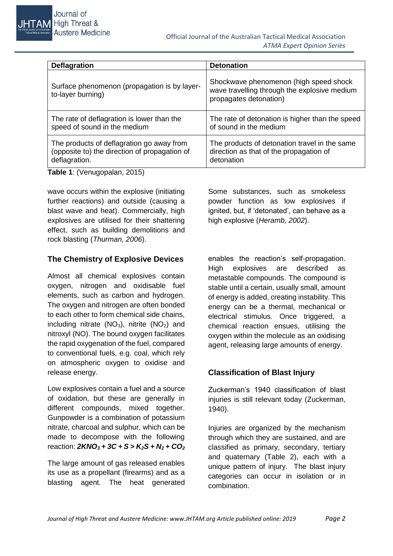| <b>Deflagration</b>                                               | <b>Detonation</b>                                                                                                |  |  |
|-------------------------------------------------------------------|------------------------------------------------------------------------------------------------------------------|--|--|
| Surface phenomenon (propagation is by layer-<br>to-layer burning) | Shockwave phenomenon (high speed shock<br>wave travelling through the explosive medium<br>propagates detonation) |  |  |
| The rate of deflagration is lower than the                        | The rate of detonation is higher than the speed                                                                  |  |  |
| speed of sound in the medium                                      | of sound in the medium                                                                                           |  |  |
| The products of deflagration go away from                         | The products of detonation travel in the same                                                                    |  |  |
| (opposite to) the direction of propagation of                     | direction as that of the propagation of                                                                          |  |  |
| deflagration.                                                     | detonation                                                                                                       |  |  |

**Table 1**: (Venugopalan, 2015)

Journal of

**Austere Medicine** 

**JHTAM** High Threat &

wave occurs within the explosive (initiating further reactions) and outside (causing a blast wave and heat). Commercially, high explosives are utilised for their shattering effect, such as building demolitions and rock blasting (*Thurman, 2006*).

#### **The Chemistry of Explosive Devices**

Almost all chemical explosives contain oxygen, nitrogen and oxidisable fuel elements, such as carbon and hydrogen. The oxygen and nitrogen are often bonded to each other to form chemical side chains, including nitrate  $(NO<sub>3</sub>)$ , nitrite  $(NO<sub>2</sub>)$  and nitroxyl (NO). The bound oxygen facilitates the rapid oxygenation of the fuel, compared to conventional fuels, e.g. coal, which rely on atmospheric oxygen to oxidise and release energy.

Low explosives contain a fuel and a source of oxidation, but these are generally in different compounds, mixed together. Gunpowder is a combination of potassium nitrate, charcoal and sulphur, which can be made to decompose with the following reaction: *2KNO<sup>3</sup> + 3C + S > K2S + N<sup>2</sup> + CO<sup>2</sup>*

The large amount of gas released enables its use as a propellant (firearms) and as a blasting agent. The heat generated Some substances, such as smokeless powder function as low explosives if ignited, but, if 'detonated', can behave as a high explosive (*Heramb, 2002*).

enables the reaction's self-propagation. High explosives are described as metastable compounds. The compound is stable until a certain, usually small, amount of energy is added, creating instability. This energy can be a thermal, mechanical or electrical stimulus. Once triggered, a chemical reaction ensues, utilising the oxygen within the molecule as an oxidising agent, releasing large amounts of energy.

## **Classification of Blast Injury**

Zuckerman's 1940 classification of blast injuries is still relevant today (Zuckerman, 1940).

Injuries are organized by the mechanism through which they are sustained, and are classified as primary, secondary, tertiary and quaternary (Table 2), each with a unique pattern of injury. The blast injury categories can occur in isolation or in combination.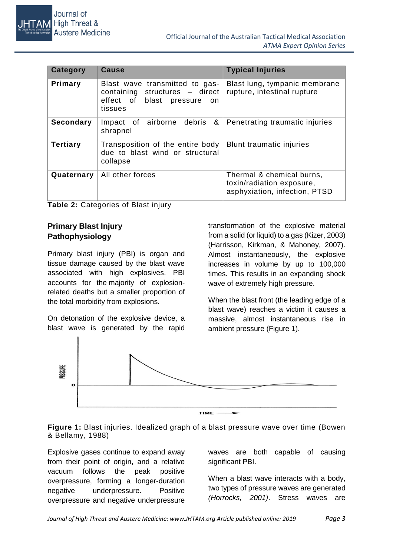| Category         | Cause                                                                                                          | <b>Typical Injuries</b>                                                                 |  |
|------------------|----------------------------------------------------------------------------------------------------------------|-----------------------------------------------------------------------------------------|--|
| Primary          | Blast wave transmitted to gas-<br>containing structures - direct<br>effect of blast pressure<br>on.<br>tissues | Blast lung, tympanic membrane<br>rupture, intestinal rupture                            |  |
| <b>Secondary</b> | &<br>Impact of airborne<br>debris<br>shrapnel                                                                  | Penetrating traumatic injuries                                                          |  |
| <b>Tertiary</b>  | Transposition of the entire body<br>due to blast wind or structural<br>collapse                                | Blunt traumatic injuries                                                                |  |
| Quaternary       | All other forces                                                                                               | Thermal & chemical burns,<br>toxin/radiation exposure,<br>asphyxiation, infection, PTSD |  |

**Table 2:** Categories of Blast injury

## **Primary Blast Injury Pathophysiology**

Primary blast injury (PBI) is organ and tissue damage caused by the blast wave associated with high explosives. PBI accounts for the majority of explosionrelated deaths but a smaller proportion of the total morbidity from explosions.

On detonation of the explosive device, a blast wave is generated by the rapid transformation of the explosive material from a solid (or liquid) to a gas (Kizer, 2003) (Harrisson, Kirkman, & Mahoney, 2007). Almost instantaneously, the explosive increases in volume by up to 100,000 times. This results in an expanding shock wave of extremely high pressure.

When the blast front (the leading edge of a blast wave) reaches a victim it causes a massive, almost instantaneous rise in ambient pressure (Figure 1).



**Figure 1:** Blast injuries. Idealized graph of a blast pressure wave over time (Bowen & Bellamy, 1988)

Explosive gases continue to expand away from their point of origin, and a relative vacuum follows the peak positive overpressure, forming a longer-duration negative underpressure. Positive overpressure and negative underpressure

waves are both capable of causing significant PBI.

When a blast wave interacts with a body, two types of pressure waves are generated *(Horrocks, 2001)*. Stress waves are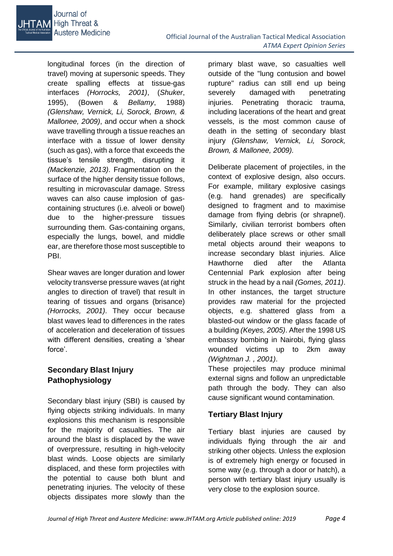

longitudinal forces (in the direction of travel) moving at supersonic speeds. They create spalling effects at tissue-gas interfaces *(Horrocks, 2001)*, (*Shuker*, 1995), (Bowen & *Bellamy*, 1988) *(Glenshaw, Vernick, Li, Sorock, Brown, & Mallonee, 2009)*, and occur when a shock wave travelling through a tissue reaches an interface with a tissue of lower density (such as gas), with a force that exceeds the tissue's tensile strength, disrupting it *(Mackenzie, 2013)*. Fragmentation on the surface of the higher density tissue follows, resulting in microvascular damage. Stress waves can also cause implosion of gascontaining structures (i.e. alveoli or bowel) due to the higher-pressure tissues surrounding them. Gas-containing organs, especially the lungs, bowel, and middle ear, are therefore those most susceptible to PBI.

Shear waves are longer duration and lower velocity transverse pressure waves (at right angles to direction of travel) that result in tearing of tissues and organs (brisance) *(Horrocks, 2001)*. They occur because blast waves lead to differences in the rates of acceleration and deceleration of tissues with different densities, creating a 'shear force'.

## **Secondary Blast Injury Pathophysiology**

Secondary blast injury (SBI) is caused by flying objects striking individuals. In many explosions this mechanism is responsible for the majority of casualties. The air around the blast is displaced by the wave of overpressure, resulting in high-velocity blast winds. Loose objects are similarly displaced, and these form projectiles with the potential to cause both blunt and penetrating injuries. The velocity of these objects dissipates more slowly than the

primary blast wave, so casualties well outside of the "lung contusion and bowel rupture" radius can still end up being severely damaged with penetrating injuries. Penetrating thoracic trauma, including lacerations of the heart and great vessels, is the most common cause of death in the setting of secondary blast injury *(Glenshaw, Vernick, Li, Sorock, Brown, & Mallonee, 2009).*

Deliberate placement of projectiles, in the context of explosive design, also occurs. For example, military explosive casings (e.g. hand grenades) are specifically designed to fragment and to maximise damage from flying debris (or shrapnel). Similarly, civilian terrorist bombers often deliberately place screws or other small metal objects around their weapons to increase secondary blast injuries. Alice Hawthorne died after the Atlanta Centennial Park explosion after being struck in the head by a nail *(Gomes, 2011)*. In other instances, the target structure provides raw material for the projected objects, e.g. shattered glass from a blasted-out window or the glass facade of a building *(Keyes, 2005)*. After the 1998 US embassy bombing in Nairobi, flying glass wounded victims up to 2km away *(Wightman J. , 2001)*.

These projectiles may produce minimal external signs and follow an unpredictable path through the body. They can also cause significant wound contamination.

## **Tertiary Blast Injury**

Tertiary blast injuries are caused by individuals flying through the air and striking other objects. Unless the explosion is of extremely high energy or focused in some way (e.g. through a door or hatch), a person with tertiary blast injury usually is very close to the explosion source.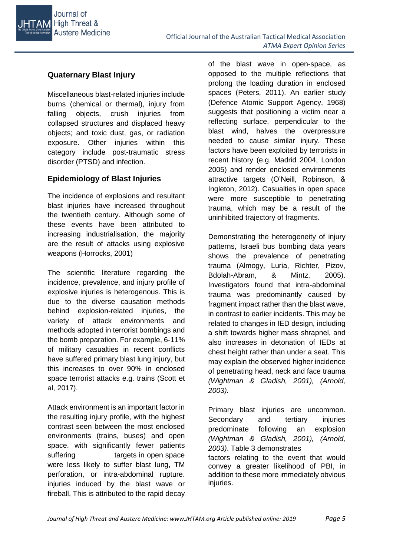

## **Quaternary Blast Injury**

Miscellaneous blast-related injuries include burns (chemical or thermal), injury from falling objects, crush injuries from collapsed structures and displaced heavy objects; and toxic dust, gas, or radiation exposure. Other injuries within this category include post-traumatic stress disorder (PTSD) and infection.

## **Epidemiology of Blast Injuries**

The incidence of explosions and resultant blast injuries have increased throughout the twentieth century. Although some of these events have been attributed to increasing industrialisation, the majority are the result of attacks using explosive weapons (Horrocks, 2001)

The scientific literature regarding the incidence, prevalence, and injury profile of explosive injuries is heterogenous. This is due to the diverse causation methods behind explosion-related injuries, the variety of attack environments and methods adopted in terrorist bombings and the bomb preparation. For example, 6-11% of military casualties in recent conflicts have suffered primary blast lung injury, but this increases to over 90% in enclosed space terrorist attacks e.g. trains (Scott et al, 2017).

Attack environment is an important factor in the resulting injury profile, with the highest contrast seen between the most enclosed environments (trains, buses) and open space. with significantly fewer patients suffering targets in open space were less likely to suffer blast lung, TM perforation, or intra-abdominal rupture. injuries induced by the blast wave or fireball, This is attributed to the rapid decay

of the blast wave in open-space, as opposed to the multiple reflections that prolong the loading duration in enclosed spaces (Peters, 2011). An earlier study (Defence Atomic Support Agency, 1968) suggests that positioning a victim near a reflecting surface, perpendicular to the blast wind, halves the overpressure needed to cause similar injury. These factors have been exploited by terrorists in recent history (e.g. Madrid 2004, London 2005) and render enclosed environments attractive targets (O'Neill, Robinson, & Ingleton, 2012). Casualties in open space were more susceptible to penetrating trauma, which may be a result of the uninhibited trajectory of fragments.

Demonstrating the heterogeneity of injury patterns, Israeli bus bombing data years shows the prevalence of penetrating trauma (Almogy, Luria, Richter, Pizov, Bdolah-Abram, & Mintz, 2005). Investigators found that intra-abdominal trauma was predominantly caused by fragment impact rather than the blast wave, in contrast to earlier incidents. This may be related to changes in IED design, including a shift towards higher mass shrapnel, and also increases in detonation of IEDs at chest height rather than under a seat. This may explain the observed higher incidence of penetrating head, neck and face trauma *(Wightman & Gladish, 2001), (Arnold, 2003).* 

Primary blast injuries are uncommon. Secondary and tertiary injuries predominate following an explosion *(Wightman & Gladish, 2001), (Arnold, 2003)*. Table 3 demonstrates factors relating to the event that would convey a greater likelihood of PBI, in addition to these more immediately obvious injuries.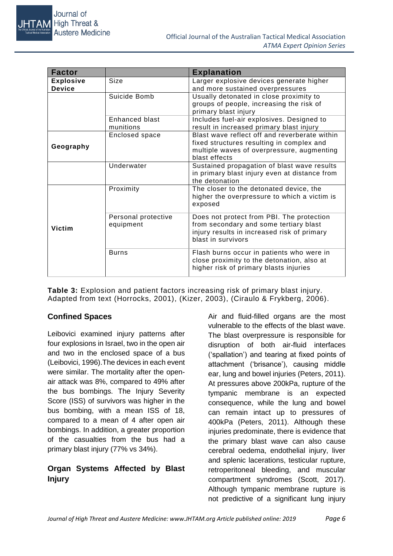

| <b>Factor</b>                     |                                  | <b>Explanation</b>                                                                                                                                        |  |  |
|-----------------------------------|----------------------------------|-----------------------------------------------------------------------------------------------------------------------------------------------------------|--|--|
| <b>Explosive</b><br><b>Device</b> | Size                             | Larger explosive devices generate higher<br>and more sustained overpressures                                                                              |  |  |
|                                   | Suicide Bomb                     | Usually detonated in close proximity to<br>groups of people, increasing the risk of<br>primary blast injury                                               |  |  |
|                                   | Enhanced blast<br>munitions      | Includes fuel-air explosives. Designed to<br>result in increased primary blast injury                                                                     |  |  |
| Geography                         | Enclosed space                   | Blast wave reflect off and reverberate within<br>fixed structures resulting in complex and<br>multiple waves of overpressure, augmenting<br>blast effects |  |  |
|                                   | Underwater                       | Sustained propagation of blast wave results<br>in primary blast injury even at distance from<br>the detonation                                            |  |  |
|                                   | Proximity                        | The closer to the detonated device, the<br>higher the overpressure to which a victim is<br>exposed                                                        |  |  |
| Victim                            | Personal protective<br>equipment | Does not protect from PBI. The protection<br>from secondary and some tertiary blast<br>injury results in increased risk of primary<br>blast in survivors  |  |  |
|                                   | <b>Burns</b>                     | Flash burns occur in patients who were in<br>close proximity to the detonation, also at<br>higher risk of primary blasts injuries                         |  |  |

**Table 3:** Explosion and patient factors increasing risk of primary blast injury. Adapted from text (Horrocks, 2001), (Kizer, 2003), (Ciraulo & Frykberg, 2006).

## **Confined Spaces**

Leibovici examined injury patterns after four explosions in Israel, two in the open air and two in the enclosed space of a bus (Leibovici, 1996).The devices in each event were similar. The mortality after the openair attack was 8%, compared to 49% after the bus bombings. The Injury Severity Score (ISS) of survivors was higher in the bus bombing, with a mean ISS of 18, compared to a mean of 4 after open air bombings. In addition, a greater proportion of the casualties from the bus had a primary blast injury (77% vs 34%).

## **Organ Systems Affected by Blast Injury**

Air and fluid-filled organs are the most vulnerable to the effects of the blast wave. The blast overpressure is responsible for disruption of both air-fluid interfaces ('spallation') and tearing at fixed points of attachment ('brisance'), causing middle ear, lung and bowel injuries (Peters, 2011). At pressures above 200kPa, rupture of the tympanic membrane is an expected consequence, while the lung and bowel can remain intact up to pressures of 400kPa (Peters, 2011). Although these injuries predominate, there is evidence that the primary blast wave can also cause cerebral oedema, endothelial injury, liver and splenic lacerations, testicular rupture, retroperitoneal bleeding, and muscular compartment syndromes (Scott, 2017). Although tympanic membrane rupture is not predictive of a significant lung injury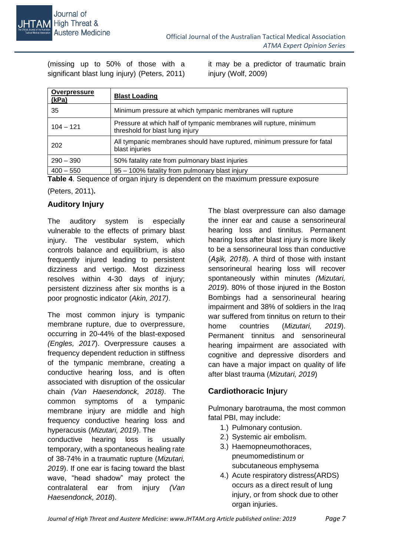

(missing up to 50% of those with a significant blast lung injury) (Peters, 2011)

it may be a predictor of traumatic brain injury (Wolf, 2009)

| <b>Overpressure</b><br>(kPa) | <b>Blast Loading</b>                                                                                                                     |
|------------------------------|------------------------------------------------------------------------------------------------------------------------------------------|
| 35                           | Minimum pressure at which tympanic membranes will rupture                                                                                |
| $104 - 121$                  | Pressure at which half of tympanic membranes will rupture, minimum<br>threshold for blast lung injury                                    |
| 202                          | All tympanic membranes should have ruptured, minimum pressure for fatal<br>blast injuries                                                |
| $290 - 390$                  | 50% fatality rate from pulmonary blast injuries                                                                                          |
| $400 - 550$                  | 95 - 100% fatality from pulmonary blast injury<br><b>Table 4.</b> Occurrence of concertation is dependent on the measurement of $\alpha$ |

**Table 4**. Sequence of organ injury is dependent on the maximum pressure exposure

(Peters, 2011)**.**

## **Auditory Injury**

The auditory system is especially vulnerable to the effects of primary blast injury. The vestibular system, which controls balance and equilibrium, is also frequently injured leading to persistent dizziness and vertigo. Most dizziness resolves within 4-30 days of injury; persistent dizziness after six months is a poor prognostic indicator (*Akin, 2017)*.

The most common injury is tympanic membrane rupture, due to overpressure, occurring in 20-44% of the blast-exposed *(Engles, 2017*). Overpressure causes a frequency dependent reduction in stiffness of the tympanic membrane, creating a conductive hearing loss, and is often associated with disruption of the ossicular chain *(Van Haesendonck, 2018)*. The common symptoms of a tympanic membrane injury are middle and high frequency conductive hearing loss and hyperacusis (*Mizutari, 2019*). The

conductive hearing loss is usually temporary, with a spontaneous healing rate of 38-74% in a traumatic rupture (*Mizutari, 2019*). If one ear is facing toward the blast wave, "head shadow" may protect the contralateral ear from injury *(Van Haesendonck, 2018*).

The blast overpressure can also damage the inner ear and cause a sensorineural hearing loss and tinnitus. Permanent hearing loss after blast injury is more likely to be a sensorineural loss than conductive (*Aşik, 2018*). A third of those with instant sensorineural hearing loss will recover spontaneously within minutes *(Mizutari, 2019*). 80% of those injured in the Boston Bombings had a sensorineural hearing impairment and 38% of soldiers in the Iraq war suffered from tinnitus on return to their home countries (*Mizutari, 2019*). Permanent tinnitus and sensorineural hearing impairment are associated with cognitive and depressive disorders and can have a major impact on quality of life after blast trauma (*Mizutari, 2019*)

## **Cardiothoracic Injur**y

Pulmonary barotrauma, the most common fatal PBI, may include:

- 1.) Pulmonary contusion.
- 2.) Systemic air embolism.
- 3.) Haemopneumothoraces, pneumomedistinum or subcutaneous emphysema
- 4.) Acute respiratory distress[\(ARDS\)](http://emedicine.medscape.com/article/165139-overview) occurs as a direct result of lung injury, or from shock due to other organ injuries.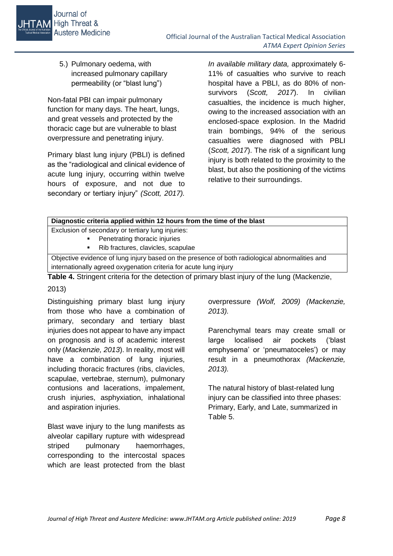5.) Pulmonary oedema, with increased pulmonary capillary permeability (or "blast lung")

Non-fatal PBI can impair pulmonary function for many days. The heart, lungs, and great vessels and protected by the thoracic cage but are vulnerable to blast overpressure and penetrating injury.

Primary blast lung injury (PBLI) is defined as the "radiological and clinical evidence of acute lung injury, occurring within twelve hours of exposure, and not due to secondary or tertiary injury" *(Scott, 2017).* 

*In available military data,* approximately 6- 11% of casualties who survive to reach hospital have a PBLI, as do 80% of nonsurvivors (*Scott, 2017*). In civilian casualties, the incidence is much higher, owing to the increased association with an enclosed-space explosion. In the Madrid train bombings, 94% of the serious casualties were diagnosed with PBLI (*Scott, 2017*). The risk of a significant lung injury is both related to the proximity to the blast, but also the positioning of the victims relative to their surroundings.

| Diagnostic criteria applied within 12 hours from the time of the blast                         |  |  |  |  |
|------------------------------------------------------------------------------------------------|--|--|--|--|
| Exclusion of secondary or tertiary lung injuries:                                              |  |  |  |  |
| Penetrating thoracic injuries                                                                  |  |  |  |  |
| Rib fractures, clavicles, scapulae                                                             |  |  |  |  |
| Objective evidence of lung injury based on the presence of both radiological abnormalities and |  |  |  |  |
| internationally agreed oxygenation criteria for acute lung injury                              |  |  |  |  |

**Table 4.** Stringent criteria for the detection of primary blast injury of the lung (Mackenzie,

#### 2013)

Distinguishing primary blast lung injury from those who have a combination of primary, secondary and tertiary blast injuries does not appear to have any impact on prognosis and is of academic interest only (*Mackenzie, 2013*). In reality, most will have a combination of lung injuries. including thoracic fractures (ribs, clavicles, scapulae, vertebrae, sternum), pulmonary contusions and lacerations, impalement, crush injuries, asphyxiation, inhalational and aspiration injuries.

Blast wave injury to the lung manifests as alveolar capillary rupture with widespread striped pulmonary haemorrhages, corresponding to the intercostal spaces which are least protected from the blast overpressure *(Wolf, 2009) (Mackenzie, 2013).* 

Parenchymal tears may create small or large localised air pockets ('blast emphysema' or 'pneumatoceles') or may result in a pneumothorax *(Mackenzie, 2013).* 

The natural history of blast-related lung injury can be classified into three phases: Primary, Early, and Late, summarized in Table 5.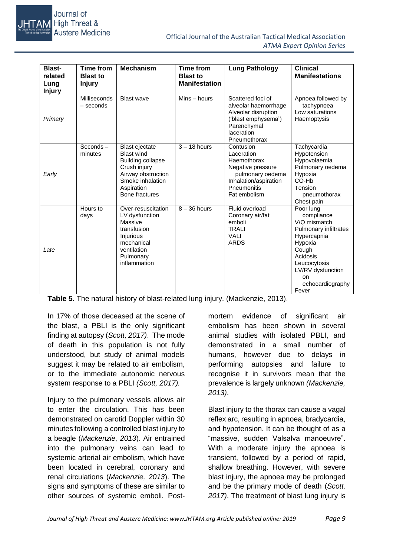

| <b>Blast-</b><br>related<br>Lung<br><b>Injury</b> | <b>Time from</b><br><b>Blast to</b><br><b>Injury</b> | <b>Mechanism</b>                                                                                                                                                 | <b>Time from</b><br><b>Blast to</b><br><b>Manifestation</b> | <b>Lung Pathology</b>                                                                                                                   | <b>Clinical</b><br><b>Manifestations</b>                                                                                                                                                |
|---------------------------------------------------|------------------------------------------------------|------------------------------------------------------------------------------------------------------------------------------------------------------------------|-------------------------------------------------------------|-----------------------------------------------------------------------------------------------------------------------------------------|-----------------------------------------------------------------------------------------------------------------------------------------------------------------------------------------|
| Primary                                           | Milliseconds<br>$-$ seconds                          | <b>Blast wave</b>                                                                                                                                                | $Mins - hours$                                              | Scattered foci of<br>alveolar haemorrhage<br>Alveolar disruption<br>('blast emphysema')<br>Parenchymal<br>laceration<br>Pneumothorax    | Apnoea followed by<br>tachypnoea<br>Low saturations<br>Haemoptysis                                                                                                                      |
| Early                                             | Seconds-<br>minutes                                  | <b>Blast ejectate</b><br><b>Blast wind</b><br><b>Building collapse</b><br>Crush injury<br>Airway obstruction<br>Smoke inhalation<br>Aspiration<br>Bone fractures | $3 - 18$ hours                                              | Contusion<br>Laceration<br>Haemothorax<br>Negative pressure<br>pulmonary oedema<br>Inhalation/aspiration<br>Pneumonitis<br>Fat embolism | Tachycardia<br>Hypotension<br>Hypovolaemia<br>Pulmonary oedema<br>Hypoxia<br>CO-Hb<br>Tension<br>pneumothorax<br>Chest pain                                                             |
| Late                                              | Hours to<br>days                                     | Over-resuscitation<br>LV dysfunction<br>Massive<br>transfusion<br>Injurious<br>mechanical<br>ventilation<br>Pulmonary<br>inflammation                            | $8 - 36$ hours                                              | Fluid overload<br>Coronary air/fat<br>emboli<br><b>TRALI</b><br><b>VALI</b><br><b>ARDS</b>                                              | Poor lung<br>compliance<br>V/Q mismatch<br>Pulmonary infiltrates<br>Hypercapnia<br>Hypoxia<br>Cough<br>Acidosis<br>Leucocytosis<br>LV/RV dysfunction<br>on<br>echocardiography<br>Fever |

**Table 5.** The natural history of blast-related lung injury. (Mackenzie, 2013).

In 17% of those deceased at the scene of the blast, a PBLI is the only significant finding at autopsy (*Scott, 2017)*. The mode of death in this population is not fully understood, but study of animal models suggest it may be related to air embolism, or to the immediate autonomic nervous system response to a PBLI *(Scott, 2017).* 

Injury to the pulmonary vessels allows air to enter the circulation. This has been demonstrated on carotid Doppler within 30 minutes following a controlled blast injury to a beagle (*Mackenzie, 2013*). Air entrained into the pulmonary veins can lead to systemic arterial air embolism, which have been located in cerebral, coronary and renal circulations (*Mackenzie, 2013*). The signs and symptoms of these are similar to other sources of systemic emboli. Postmortem evidence of significant air embolism has been shown in several animal studies with isolated PBLI, and demonstrated in a small number of humans, however due to delays in performing autopsies and failure to recognise it in survivors mean that the prevalence is largely unknown *(Mackenzie, 2013)*.

Blast injury to the thorax can cause a vagal reflex arc, resulting in apnoea, bradycardia, and hypotension. It can be thought of as a "massive, sudden Valsalva manoeuvre". With a moderate injury the apnoea is transient, followed by a period of rapid, shallow breathing. However, with severe blast injury, the apnoea may be prolonged and be the primary mode of death (*Scott, 2017)*. The treatment of blast lung injury is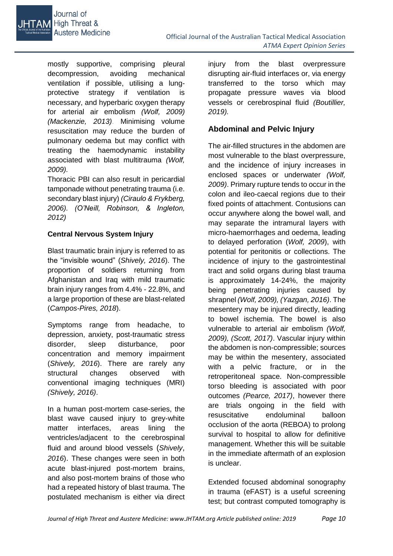

mostly supportive, comprising pleural decompression, avoiding mechanical ventilation if possible, utilising a lungprotective strategy if ventilation is necessary, and hyperbaric oxygen therapy for arterial air embolism *(Wolf, 2009) (Mackenzie, 2013)*. Minimising volume resuscitation may reduce the burden of pulmonary oedema but may conflict with treating the haemodynamic instability associated with blast multitrauma *(Wolf, 2009).*

Thoracic PBI can also result in pericardial tamponade without penetrating trauma (i.e. secondary blast injury) *(Ciraulo & Frykberg, 2006). (O'Neill, Robinson, & Ingleton, 2012)*

#### **Central Nervous System Injury**

Blast traumatic brain injury is referred to as the "invisible wound" (*Shively, 2016*). The proportion of soldiers returning from Afghanistan and Iraq with mild traumatic brain injury ranges from 4.4% - 22.8%, and a large proportion of these are blast-related (*Campos-Pires, 2018*).

Symptoms range from headache, to depression, anxiety, post-traumatic stress disorder, sleep disturbance, poor concentration and memory impairment (*Shively, 2016*). There are rarely any structural changes observed with conventional imaging techniques (MRI) *(Shively, 2016)*.

In a human post-mortem case-series, the blast wave caused injury to grey-white matter interfaces, areas lining the ventricles/adjacent to the cerebrospinal fluid and around blood vessels (*Shively*, *2016*). These changes were seen in both acute blast-injured post-mortem brains, and also post-mortem brains of those who had a repeated history of blast trauma. The postulated mechanism is either via direct

injury from the blast overpressure disrupting air-fluid interfaces or, via energy transferred to the torso which may propagate pressure waves via blood vessels or cerebrospinal fluid *(Boutillier, 2019).*

### **Abdominal and Pelvic Injury**

The air-filled structures in the abdomen are most vulnerable to the blast overpressure, and the incidence of injury increases in enclosed spaces or underwater *(Wolf, 2009)*. Primary rupture tends to occur in the colon and ileo-caecal regions due to their fixed points of attachment. Contusions can occur anywhere along the bowel wall, and may separate the intramural layers with micro-haemorrhages and oedema, leading to delayed perforation (*Wolf, 2009*), with potential for peritonitis or collections. The incidence of injury to the gastrointestinal tract and solid organs during blast trauma is approximately 14-24%, the majority being penetrating injuries caused by shrapnel *(Wolf, 2009), (Yazgan, 2016)*. The mesentery may be injured directly, leading to bowel ischemia. The bowel is also vulnerable to arterial air embolism *(Wolf, 2009), (Scott, 2017)*. Vascular injury within the abdomen is non-compressible; sources may be within the mesentery, associated with a pelvic fracture, or in the retroperitoneal space. Non-compressible torso bleeding is associated with poor outcomes *(Pearce, 2017)*, however there are trials ongoing in the field with resuscitative endoluminal balloon occlusion of the aorta (REBOA) to prolong survival to hospital to allow for definitive management. Whether this will be suitable in the immediate aftermath of an explosion is unclear.

Extended focused abdominal sonography in trauma (eFAST) is a useful screening test; but contrast computed tomography is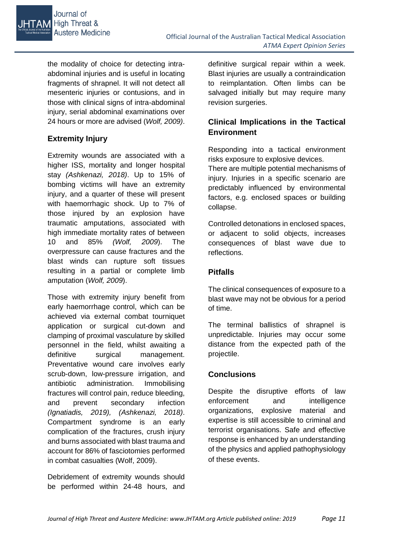

the modality of choice for detecting intraabdominal injuries and is useful in locating fragments of shrapnel. It will not detect all mesenteric injuries or contusions, and in those with clinical signs of intra-abdominal injury, serial abdominal examinations over 24 hours or more are advised (*Wolf, 2009)*.

# **Extremity Injury**

Extremity wounds are associated with a higher ISS, mortality and longer hospital stay *(Ashkenazi, 2018)*. Up to 15% of bombing victims will have an extremity injury, and a quarter of these will present with haemorrhagic shock. Up to 7% of those injured by an explosion have traumatic amputations, associated with high immediate mortality rates of between 10 and 85% *(Wolf, 2009*). The overpressure can cause fractures and the blast winds can rupture soft tissues resulting in a partial or complete limb amputation (*Wolf, 2009*).

Those with extremity injury benefit from early haemorrhage control, which can be achieved via external combat tourniquet application or surgical cut-down and clamping of proximal vasculature by skilled personnel in the field, whilst awaiting a definitive surgical management. Preventative wound care involves early scrub-down, low-pressure irrigation, and antibiotic administration. Immobilising fractures will control pain, reduce bleeding, and prevent secondary infection *(Ignatiadis, 2019), (Ashkenazi, 2018)*. Compartment syndrome is an early complication of the fractures, crush injury and burns associated with blast trauma and account for 86% of fasciotomies performed in combat casualties (Wolf, 2009).

Debridement of extremity wounds should be performed within 24-48 hours, and definitive surgical repair within a week. Blast injuries are usually a contraindication to reimplantation. Often limbs can be salvaged initially but may require many revision surgeries.

# **Clinical Implications in the Tactical Environment**

Responding into a tactical environment risks exposure to explosive devices.

There are multiple potential mechanisms of injury. Injuries in a specific scenario are predictably influenced by environmental factors, e.g. enclosed spaces or building collapse.

Controlled detonations in enclosed spaces, or adjacent to solid objects, increases consequences of blast wave due to reflections.

## **Pitfalls**

The clinical consequences of exposure to a blast wave may not be obvious for a period of time.

The terminal ballistics of shrapnel is unpredictable. Injuries may occur some distance from the expected path of the projectile.

### **Conclusions**

Despite the disruptive efforts of law enforcement and intelligence organizations, explosive material and expertise is still accessible to criminal and terrorist organisations. Safe and effective response is enhanced by an understanding of the physics and applied pathophysiology of these events.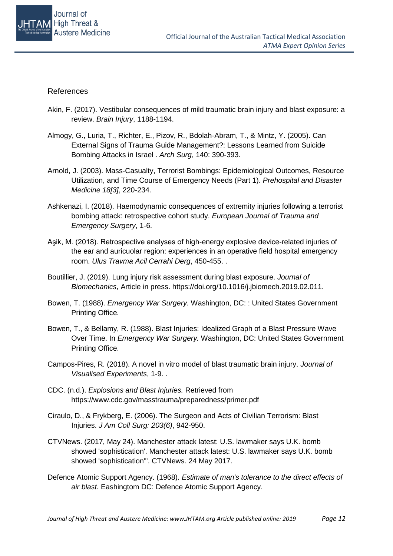

#### References

- Akin, F. (2017). Vestibular consequences of mild traumatic brain injury and blast exposure: a review. *Brain Injury*, 1188-1194.
- Almogy, G., Luria, T., Richter, E., Pizov, R., Bdolah-Abram, T., & Mintz, Y. (2005). Can External Signs of Trauma Guide Management?: Lessons Learned from Suicide Bombing Attacks in Israel . *Arch Surg*, 140: 390-393.
- Arnold, J. (2003). Mass-Casualty, Terrorist Bombings: Epidemiological Outcomes, Resource Utilization, and Time Course of Emergency Needs (Part 1). *Prehospital and Disaster Medicine 18[3]*, 220-234.
- Ashkenazi, I. (2018). Haemodynamic consequences of extremity injuries following a terrorist bombing attack: retrospective cohort study. *European Journal of Trauma and Emergency Surgery*, 1-6.
- Aşik, M. (2018). Retrospective analyses of high-energy explosive device-related injuries of the ear and auricuolar region: experiences in an operative field hospital emergency room. *Ulus Travma Acil Cerrahi Derg*, 450-455. .
- Boutillier, J. (2019). Lung injury risk assessment during blast exposure. *Journal of Biomechanics*, Article in press. https://doi.org/10.1016/j.jbiomech.2019.02.011.
- Bowen, T. (1988). *Emergency War Surgery.* Washington, DC: : United States Government Printing Office.
- Bowen, T., & Bellamy, R. (1988). Blast Injuries: Idealized Graph of a Blast Pressure Wave Over Time. In *Emergency War Surgery.* Washington, DC: United States Government Printing Office.
- Campos-Pires, R. (2018). A novel in vitro model of blast traumatic brain injury. *Journal of Visualised Experiments*, 1-9. .
- CDC. (n.d.). *Explosions and Blast Injuries.* Retrieved from https://www.cdc.gov/masstrauma/preparedness/primer.pdf
- Ciraulo, D., & Frykberg, E. (2006). The Surgeon and Acts of Civilian Terrorism: Blast Injuries. *J Am Coll Surg: 203(6)*, 942-950.
- CTVNews. (2017, May 24). Manchester attack latest: U.S. lawmaker says U.K. bomb showed 'sophistication'. Manchester attack latest: U.S. lawmaker says U.K. bomb showed 'sophistication'". CTVNews. 24 May 2017.
- Defence Atomic Support Agency. (1968). *Estimate of man's tolerance to the direct effects of air blast.* Eashingtom DC: Defence Atomic Support Agency.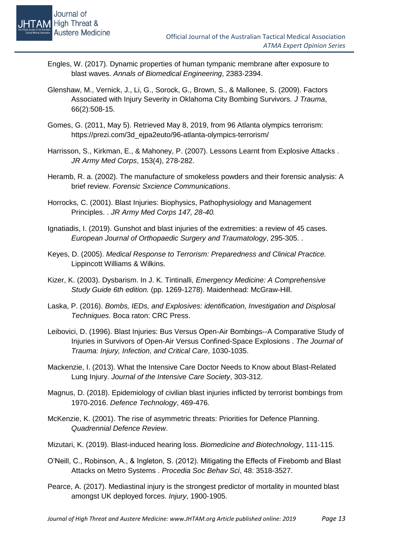- Engles, W. (2017). Dynamic properties of human tympanic membrane after exposure to blast waves. *Annals of Biomedical Engineering*, 2383-2394.
- Glenshaw, M., Vernick, J., Li, G., Sorock, G., Brown, S., & Mallonee, S. (2009). Factors Associated with Injury Severity in Oklahoma City Bombing Survivors. *J Trauma*, 66(2):508-15.
- Gomes, G. (2011, May 5). Retrieved May 8, 2019, from 96 Atlanta olympics terrorism: https://prezi.com/3d\_ejpa2euto/96-atlanta-olympics-terrorism/
- Harrisson, S., Kirkman, E., & Mahoney, P. (2007). Lessons Learnt from Explosive Attacks . *JR Army Med Corps*, 153(4), 278-282.
- Heramb, R. a. (2002). The manufacture of smokeless powders and their forensic analysis: A brief review. *Forensic Sxcience Communications*.
- Horrocks, C. (2001). Blast Injuries: Biophysics, Pathophysiology and Management Principles. . *JR Army Med Corps 147, 28-40.*
- Ignatiadis, I. (2019). Gunshot and blast injuries of the extremities: a review of 45 cases. *European Journal of Orthopaedic Surgery and Traumatology*, 295-305. .
- Keyes, D. (2005). *Medical Response to Terrorism: Preparedness and Clinical Practice.* Lippincott Williams & Wilkins.
- Kizer, K. (2003). Dysbarism. In J. K. Tintinalli, *Emergency Medicine: A Comprehensive Study Guide 6th edition.* (pp. 1269-1278). Maidenhead: McGraw-Hill.
- Laska, P. (2016). *Bombs, IEDs, and Explosives: identification, Investigation and Displosal Techniques.* Boca raton: CRC Press.
- Leibovici, D. (1996). Blast Injuries: Bus Versus Open-Air Bombings--A Comparative Study of Injuries in Survivors of Open-Air Versus Confined-Space Explosions . *The Journal of Trauma: Injury, Infection, and Critical Care*, 1030-1035.
- Mackenzie, I. (2013). What the Intensive Care Doctor Needs to Know about Blast-Related Lung Injury. *Journal of the Intensive Care Society*, 303-312.
- Magnus, D. (2018). Epidemiology of civilian blast injuries inflicted by terrorist bombings from 1970-2016. *Defence Technology*, 469-476.
- McKenzie, K. (2001). The rise of asymmetric threats: Priorities for Defence Planning. *Quadrennial Defence Review*.
- Mizutari, K. (2019). Blast-induced hearing loss. *Biomedicine and Biotechnology*, 111-115.
- O'Neill, C., Robinson, A., & Ingleton, S. (2012). Mitigating the Effects of Firebomb and Blast Attacks on Metro Systems . *Procedia Soc Behav Sci*, 48: 3518-3527.
- Pearce, A. (2017). Mediastinal injury is the strongest predictor of mortality in mounted blast amongst UK deployed forces. *Injury*, 1900-1905.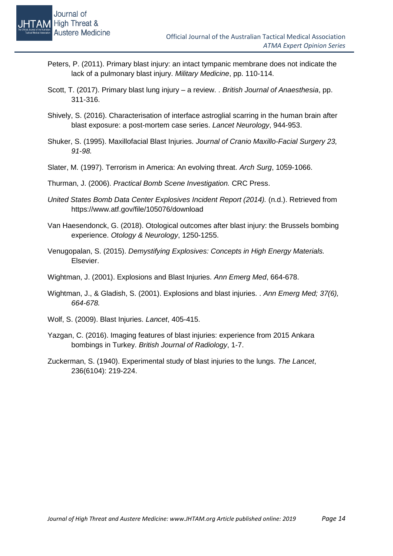- Peters, P. (2011). Primary blast injury: an intact tympanic membrane does not indicate the lack of a pulmonary blast injury. *Military Medicine*, pp. 110-114.
- Scott, T. (2017). Primary blast lung injury a review. . *British Journal of Anaesthesia*, pp. 311-316.
- Shively, S. (2016). Characterisation of interface astroglial scarring in the human brain after blast exposure: a post-mortem case series. *Lancet Neurology*, 944-953.
- Shuker, S. (1995). Maxillofacial Blast Injuries. *Journal of Cranio Maxillo-Facial Surgery 23, 91-98.*
- Slater, M. (1997). Terrorism in America: An evolving threat. *Arch Surg*, 1059-1066.
- Thurman, J. (2006). *Practical Bomb Scene Investigation.* CRC Press.
- *United States Bomb Data Center Explosives Incident Report (2014).* (n.d.). Retrieved from https://www.atf.gov/file/105076/download
- Van Haesendonck, G. (2018). Otological outcomes after blast injury: the Brussels bombing experience. *Otology & Neurology*, 1250-1255.
- Venugopalan, S. (2015). *Demystifying Explosives: Concepts in High Energy Materials.* Elsevier.
- Wightman, J. (2001). Explosions and Blast Injuries. *Ann Emerg Med*, 664-678.
- Wightman, J., & Gladish, S. (2001). Explosions and blast injuries. . *Ann Emerg Med; 37(6), 664-678.*
- Wolf, S. (2009). Blast Injuries. *Lancet*, 405-415.
- Yazgan, C. (2016). Imaging features of blast injuries: experience from 2015 Ankara bombings in Turkey. *British Journal of Radiology*, 1-7.
- Zuckerman, S. (1940). Experimental study of blast injuries to the lungs. *The Lancet*, 236(6104): 219-224.